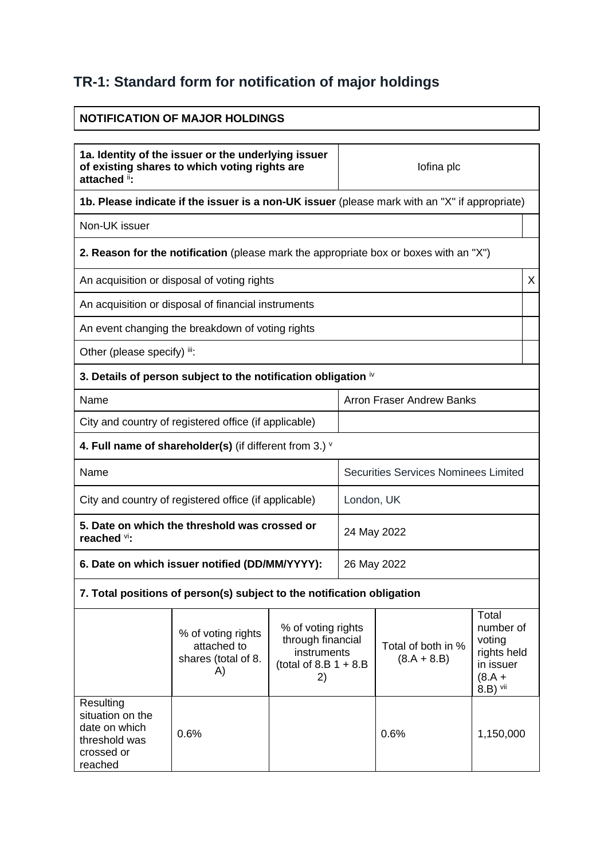## **TR-1: Standard form for notification of major holdings**

## **NOTIFICATION OF MAJOR HOLDINGS 1a. Identity of the issuer or the underlying issuer of existing shares to which voting rights are attached** ii**:** Iofina plc **1b. Please indicate if the issuer is a non-UK issuer** (please mark with an "X" if appropriate) Non-UK issuer **2. Reason for the notification** (please mark the appropriate box or boxes with an "X") An acquisition or disposal of voting rights  $\vert X \vert$ An acquisition or disposal of financial instruments An event changing the breakdown of voting rights Other (please specify) iii: **3. Details of person subject to the notification obligation** iv Name **Name** Arron Fraser Andrew Banks City and country of registered office (if applicable) **4. Full name of shareholder(s)** (if different from 3.) <sup>v</sup> Name Securities Services Nominees Limited City and country of registered office (if applicable) | London, UK **5. Date on which the threshold was crossed or reached** vi**:** 24 May 2022 **6. Date on which issuer notified (DD/MM/YYYY):** 26 May 2022 **7. Total positions of person(s) subject to the notification obligation** % of voting rights attached to shares (total of 8. A) % of voting rights through financial instruments (total of  $8.B 1 + 8.B$ 2) Total of both in %  $(8.A + 8.B)$ **Total** number of voting rights held in issuer  $(8.A +$  $8.B$ ) vii Resulting situation on the date on which threshold was crossed or reached 0.6% 1,150,000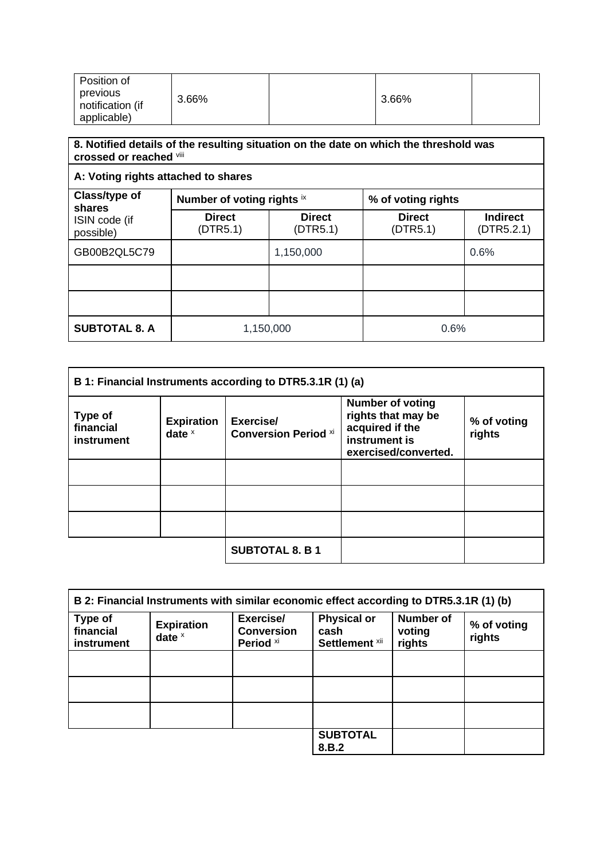| Position of                                 |       |       |  |
|---------------------------------------------|-------|-------|--|
| previous<br>notification (if<br>applicable) | 3.66% | 3.66% |  |

## **8. Notified details of the resulting situation on the date on which the threshold was crossed or reached** viii

| A: Voting rights attached to shares |                            |                           |                           |                               |
|-------------------------------------|----------------------------|---------------------------|---------------------------|-------------------------------|
| Class/type of<br>shares             | Number of voting rights ix |                           | % of voting rights        |                               |
| ISIN code (if<br>possible)          | <b>Direct</b><br>(DTR5.1)  | <b>Direct</b><br>(DTR5.1) | <b>Direct</b><br>(DTR5.1) | <b>Indirect</b><br>(DTR5.2.1) |
| GB00B2QL5C79                        |                            | 1,150,000                 |                           | 0.6%                          |
|                                     |                            |                           |                           |                               |
|                                     |                            |                           |                           |                               |
| <b>SUBTOTAL 8. A</b>                | 1,150,000                  |                           | 0.6%                      |                               |

| B 1: Financial Instruments according to DTR5.3.1R (1) (a) |                               |                                          |                                                                                                           |                       |
|-----------------------------------------------------------|-------------------------------|------------------------------------------|-----------------------------------------------------------------------------------------------------------|-----------------------|
| Type of<br>financial<br>instrument                        | <b>Expiration</b><br>date $x$ | Exercise/<br><b>Conversion Period xi</b> | <b>Number of voting</b><br>rights that may be<br>acquired if the<br>instrument is<br>exercised/converted. | % of voting<br>rights |
|                                                           |                               |                                          |                                                                                                           |                       |
|                                                           |                               |                                          |                                                                                                           |                       |
|                                                           |                               |                                          |                                                                                                           |                       |
|                                                           |                               | <b>SUBTOTAL 8. B 1</b>                   |                                                                                                           |                       |

| B 2: Financial Instruments with similar economic effect according to DTR5.3.1R (1) (b) |                               |                                                        |                                              |                                      |                       |
|----------------------------------------------------------------------------------------|-------------------------------|--------------------------------------------------------|----------------------------------------------|--------------------------------------|-----------------------|
| Type of<br>financial<br>instrument                                                     | <b>Expiration</b><br>date $x$ | Exercise/<br><b>Conversion</b><br>Period <sup>xi</sup> | <b>Physical or</b><br>cash<br>Settlement xii | <b>Number of</b><br>voting<br>rights | % of voting<br>rights |
|                                                                                        |                               |                                                        |                                              |                                      |                       |
|                                                                                        |                               |                                                        |                                              |                                      |                       |
|                                                                                        |                               |                                                        |                                              |                                      |                       |
|                                                                                        |                               |                                                        | <b>SUBTOTAL</b><br>8.B.2                     |                                      |                       |